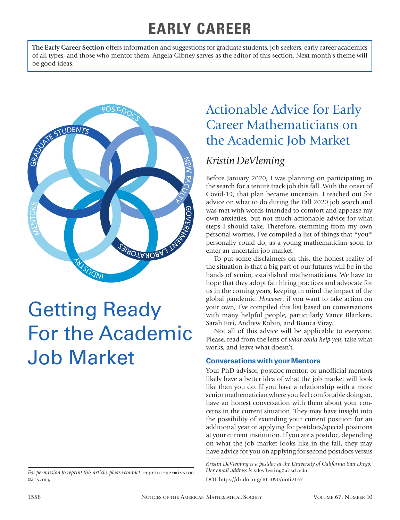# **EARLY CAREER**

**The Early Career Section** offers information and suggestions for graduate students, job seekers, early career academics of all types, and those who mentor them. Angela Gibney serves as the editor of this section. Next month's theme will be good ideas.



# Getting Ready For the Academic Job Market

## Actionable Advice for Early Career Mathematicians on the Academic Job Market

## *Kristin DeVleming*

Before January 2020, I was planning on participating in the search for a tenure track job this fall. With the onset of Covid-19, that plan became uncertain. I reached out for advice on what to do during the Fall 2020 job search and was met with words intended to comfort and appease my own anxieties, but not much actionable advice for what steps I should take. Therefore, stemming from my own personal worries, I've compiled a list of things that \*you\* personally could do, as a young mathematician soon to enter an uncertain job market.

To put some disclaimers on this, the honest reality of the situation is that a big part of our futures will be in the hands of senior, established mathematicians. We have to hope that they adopt fair hiring practices and advocate for us in the coming years, keeping in mind the impact of the global pandemic. *However*, if you want to take action on your own, I've compiled this list based on conversations with many helpful people, particularly Vance Blankers, Sarah Frei, Andrew Kobin, and Bianca Viray.

Not all of this advice will be applicable to everyone. Please, read from the lens of *what could help you*, take what works, and leave what doesn't.

#### **Conversations with your Mentors**

Your PhD advisor, postdoc mentor, or unofficial mentors likely have a better idea of what the job market will look like than you do. If you have a relationship with a more senior mathematician where you feel comfortable doing so, have an honest conversation with them about your concerns in the current situation. They may have insight into the possibility of extending your current position for an additional year or applying for postdocs/special positions at your current institution. If you are a postdoc, depending on what the job market looks like in the fall, they may have advice for you on applying for second postdocs versus

*Kristin DeVleming is a postdoc at the University of California San Diego. Her email address is* kdevleming@ucsd.edu*.* DOI: https://dx.doi.org/10.1090/noti2157

*For permission to reprint this article, please contact:* reprint-permission @ams.org.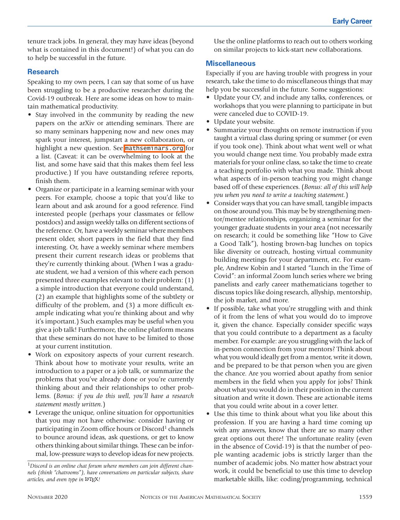tenure track jobs. In general, they may have ideas (beyond what is contained in this document!) of what you can do to help be successful in the future.

#### **Research**

Speaking to my own peers, I can say that some of us have been struggling to be a productive researcher during the Covid-19 outbreak. Here are some ideas on how to maintain mathematical productivity.

- Stay involved in the community by reading the new papers on the arXiv or attending seminars. There are so many seminars happening now and new ones may spark your interest, jumpstart a new collaboration, or highlight a new question. See [mathseminars.org](http://mathseminars.org) for a list. (Caveat: it can be overwhelming to look at the list, and some have said that this makes them feel less productive.) If you have outstanding referee reports, finish them.
- Organize or participate in a learning seminar with your peers. For example, choose a topic that you'd like to learn about and ask around for a good reference. Find interested people (perhaps your classmates or fellow postdocs) and assign weekly talks on different sections of the reference. Or, have a weekly seminar where members present older, short papers in the field that they find interesting. Or, have a weekly seminar where members present their current research ideas or problems that they're currently thinking about. (When I was a graduate student, we had a version of this where each person presented three examples relevant to their problem: (1) a simple introduction that everyone could understand, (2) an example that highlights some of the subtlety or difficulty of the problem, and (3) a more difficult example indicating what you're thinking about and why it's important.) Such examples may be useful when you give a job talk! Furthermore, the online platform means that these seminars do not have to be limited to those at your current institution.
- Work on expository aspects of your current research. Think about how to motivate your results, write an introduction to a paper or a job talk, or summarize the problems that you've already done or you're currently thinking about and their relationships to other problems. (*Bonus: if you do this well, you'll have a research statement mostly written.*)
- Leverage the unique, online situation for opportunities that you may not have otherwise: consider having or participating in Zoom office hours or Discord<sup>1</sup> channels to bounce around ideas, ask questions, or get to know others thinking about similar things. These can be informal, low-pressure ways to develop ideas for new projects.

Use the online platforms to reach out to others working on similar projects to kick-start new collaborations.

#### **Miscellaneous**

Especially if you are having trouble with progress in your research, take the time to do miscellaneous things that may help you be successful in the future. Some suggestions:

- Update your CV, and include any talks, conferences, or workshops that you were planning to participate in but were canceled due to COVID-19.
- Update your website.
- Summarize your thoughts on remote instruction if you taught a virtual class during spring or summer (or even if you took one). Think about what went well or what you would change next time. You probably made extra materials for your online class, so take the time to create a teaching portfolio with what you made. Think about what aspects of in-person teaching you might change based off of these experiences. (*Bonus: all of this will help you when you need to write a teaching statement.*)
- Consider ways that you can have small, tangible impacts on those around you. This may be by strengthening mentor/mentee relationships, organizing a seminar for the younger graduate students in your area (not necessarily on research; it could be something like "How to Give a Good Talk"), hosting brown-bag lunches on topics like diversity or outreach, hosting virtual community building meetings for your department, etc. For example, Andrew Kobin and I started "Lunch in the Time of Covid": an informal Zoom lunch series where we bring panelists and early career mathematicians together to discuss topics like doing research, allyship, mentorship, the job market, and more.
- If possible, take what you're struggling with and think of it from the lens of what you would do to improve it, given the chance. Especially consider specific ways that you could contribute to a department as a faculty member. For example: are you struggling with the lack of in-person connection from your mentors? Think about what you would ideally get from a mentor, write it down, and be prepared to be that person when you are given the chance. Are you worried about apathy from senior members in the field when you apply for jobs? Think about what you would do in their position in the current situation and write it down. These are actionable items that you could write about in a cover letter.
- Use this time to think about what you like about this profession. If you are having a hard time coming up with any answers, know that there are so many other great options out there! The unfortunate reality (even in the absence of Covid-19) is that the number of people wanting academic jobs is strictly larger than the number of academic jobs. No matter how abstract your work, it could be beneficial to use this time to develop marketable skills, like: coding/programming, technical

<sup>1</sup>*Discord is an online chat forum where members can join different channels (think "chatrooms"), have conversations on particular subjects, share articles, and even type in !*